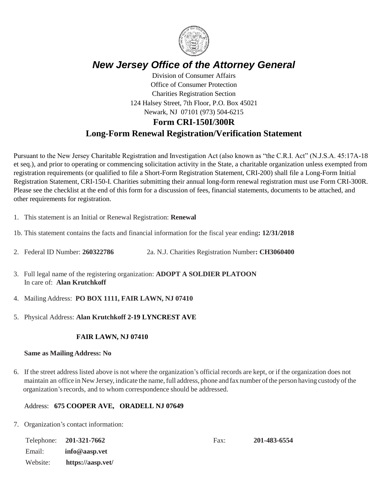

# *New Jersey Office of the Attorney General*

Division of Consumer Affairs Office of Consumer Protection Charities Registration Section 124 Halsey Street, 7th Floor, P.O. Box 45021 Newark, NJ 07101 (973) 504-6215

# **Form CRI-150I/300R Long-Form Renewal Registration/Verification Statement**

Pursuant to the New Jersey Charitable Registration and Investigation Act (also known as "the C.R.I. Act" (N.J.S.A. 45:17A-18 et seq.), and prior to operating or commencing solicitation activity in the State, a charitable organization unless exempted from registration requirements (or qualified to file a Short-Form Registration Statement, CRI-200) shall file a Long-Form Initial Registration Statement, CRI-150-I. Charities submitting their annual long-form renewal registration must use Form CRI-300R. Please see the checklist at the end of this form for a discussion of fees, financial statements, documents to be attached, and other requirements for registration.

- 1. This statement is an Initial or Renewal Registration: **Renewal**
- 1b. This statement contains the facts and financial information for the fiscal year ending**: 12/31/2018**
- 2. Federal ID Number: **260322786** 2a. N.J. Charities Registration Number**: CH3060400**
- 3. Full legal name of the registering organization: **ADOPT A SOLDIER PLATOON** In care of: **Alan Krutchkoff**
- 4. Mailing Address: **PO BOX 1111, FAIR LAWN, NJ 07410**
- 5. Physical Address: **Alan Krutchkoff 2-19 LYNCREST AVE**

#### **FAIR LAWN, NJ 07410**

#### **Same as Mailing Address: No**

6. If the street address listed above is not where the organization's official records are kept, or if the organization does not maintain an office in New Jersey, indicate the name,full address, phone and fax number ofthe person having custody ofthe organization'srecords, and to whom correspondence should be addressed.

#### Address: **675 COOPER AVE, ORADELL NJ 07649**

7. Organization's contact information:

|          | Telephone: 201-321-7662 | Fax: | 201-483-6554 |
|----------|-------------------------|------|--------------|
| Email:   | $info@$ aasp. vet       |      |              |
| Website: | https://aasp.vet/       |      |              |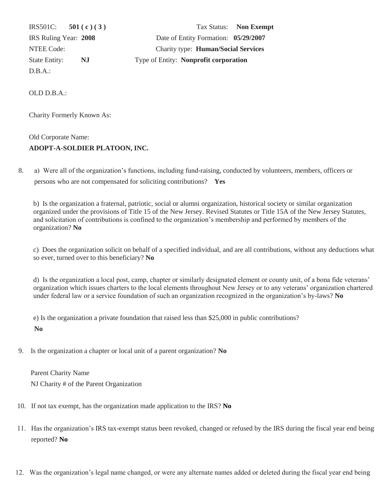D.B.A.:

IRS501C: **501 ( c ) ( 3 )** Tax Status: **Non Exempt**  IRS Ruling Year: **2008** Date of Entity Formation: **05/29/2007** NTEE Code: Charity type: **Human/Social Services** State Entity: **NJ** Type of Entity: **Nonprofit corporation**

OLD D.B.A.:

Charity Formerly Known As:

## Old Corporate Name: **ADOPT-A-SOLDIER PLATOON, INC.**

8. a) Were all of the organization's functions, including fund-raising, conducted by volunteers, members, officers or persons who are not compensated for soliciting contributions? **Yes**

b) Is the organization a fraternal, patriotic, social or alumni organization, historical society or similar organization organized under the provisions of Title 15 of the New Jersey. Revised Statutes or Title 15A of the New Jersey Statutes, and solicitation of contributions is confined to the organization's membership and performed by members of the organization? **No**

c) Does the organization solicit on behalf of a specified individual, and are all contributions, without any deductions what so ever, turned over to this beneficiary? **No**

d) Is the organization a local post, camp, chapter or similarly designated element or county unit, of a bona fide veterans' organization which issues charters to the local elements throughout New Jersey or to any veterans' organization chartered under federal law or a service foundation of such an organization recognized in the organization's by-laws? **No**

e) Is the organization a private foundation that raised less than \$25,000 in public contributions? **No**

9. Is the organization a chapter or local unit of a parent organization? **No**

 Parent Charity Name NJ Charity # of the Parent Organization

- 10. If not tax exempt, has the organization made application to the IRS? **No**
- 11. Has the organization's IRS tax-exempt status been revoked, changed or refused by the IRS during the fiscal year end being reported? **No**
- 12. Was the organization's legal name changed, or were any alternate names added or deleted during the fiscal year end being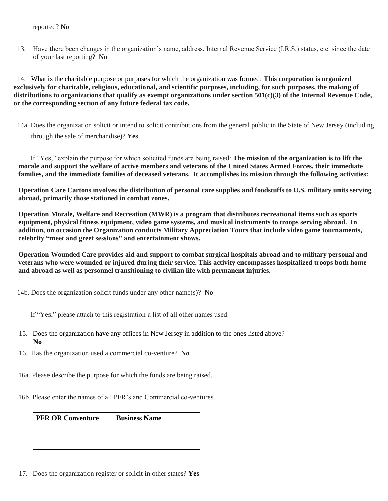#### reported? **No**

 13. Have there been changes in the organization's name, address, Internal Revenue Service (I.R.S.) status, etc. since the date of your last reporting? **No**

 14. What is the charitable purpose or purposes for which the organization was formed: **This corporation is organized exclusively for charitable, religious, educational, and scientific purposes, including, for such purposes, the making of distributions to organizations that qualify as exempt organizations under section 501(c)(3) of the Internal Revenue Code, or the corresponding section of any future federal tax code.**

 14a. Does the organization solicit or intend to solicit contributions from the general public in the State of New Jersey (including through the sale of merchandise)? **Yes**

 If "Yes," explain the purpose for which solicited funds are being raised: **The mission of the organization is to lift the morale and support the welfare of active members and veterans of the United States Armed Forces, their immediate families, and the immediate families of deceased veterans. It accomplishes its mission through the following activities:**

**Operation Care Cartons involves the distribution of personal care supplies and foodstuffs to U.S. military units serving abroad, primarily those stationed in combat zones.**

**Operation Morale, Welfare and Recreation (MWR) is a program that distributes recreational items such as sports equipment, physical fitness equipment, video game systems, and musical instruments to troops serving abroad. In addition, on occasion the Organization conducts Military Appreciation Tours that include video game tournaments, celebrity "meet and greet sessions" and entertainment shows.**

**Operation Wounded Care provides aid and support to combat surgical hospitals abroad and to military personal and veterans who were wounded or injured during their service. This activity encompasses hospitalized troops both home and abroad as well as personnel transitioning to civilian life with permanent injuries.**

14b. Does the organization solicit funds under any other name(s)? **No**

If "Yes," please attach to this registration a list of all other names used.

- 15. Does the organization have any offices in New Jersey in addition to the ones listed above?  **No**
- 16. Has the organization used a commercial co-venture? **No**
- 16a. Please describe the purpose for which the funds are being raised.
- 16b. Please enter the names of all PFR's and Commercial co-ventures.

| <b>PFR OR Conventure</b> | <b>Business Name</b> |
|--------------------------|----------------------|
|                          |                      |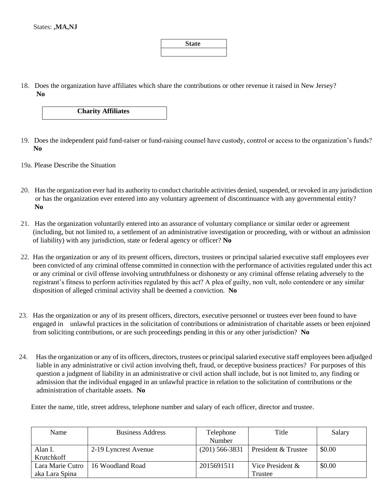### **State**

 18. Does the organization have affiliates which share the contributions or other revenue it raised in New Jersey? **No**

**Charity Affiliates**

- 19. Does the independent paid fund-raiser or fund-raising counsel have custody, control or access to the organization's funds? **No**
- 19a. Please Describe the Situation
- 20. Has the organization ever had its authority to conduct charitable activities denied, suspended, or revoked in any jurisdiction or has the organization ever entered into any voluntary agreement of discontinuance with any governmental entity? **No**
- 21. Has the organization voluntarily entered into an assurance of voluntary compliance or similar order or agreement (including, but not limited to, a settlement of an administrative investigation or proceeding, with or without an admission of liability) with any jurisdiction, state or federal agency or officer? **No**
- 22. Has the organization or any of its present officers, directors, trustees or principal salaried executive staff employees ever been convicted of any criminal offense committed in connection with the performance of activities regulated under this act or any criminal or civil offense involving untruthfulness or dishonesty or any criminal offense relating adversely to the registrant's fitness to perform activities regulated by this act? A plea of guilty, non vult, nolo contendere or any similar disposition of alleged criminal activity shall be deemed a conviction. **No**
- 23. Has the organization or any of its present officers, directors, executive personnel or trustees ever been found to have engaged in unlawful practices in the solicitation of contributions or administration of charitable assets or been enjoined from soliciting contributions, or are such proceedings pending in this or any other jurisdiction? **No**
- 24. Has the organization or any of its officers, directors, trustees or principal salaried executive staff employees been adjudged liable in any administrative or civil action involving theft, fraud, or deceptive business practices? For purposes of this question a judgment of liability in an administrative or civil action shall include, but is not limited to, any finding or admission that the individual engaged in an unlawful practice in relation to the solicitation of contributions or the administration of charitable assets. **No**

Enter the name, title, street address, telephone number and salary of each officer, director and trustee.

| Name             | <b>Business Address</b> | Telephone        | Title                          | Salary |
|------------------|-------------------------|------------------|--------------------------------|--------|
|                  |                         | Number           |                                |        |
| Alan I.          | 2-19 Lyncrest Avenue    | $(201)$ 566-3831 | <b>President &amp; Trustee</b> | \$0.00 |
| Krutchkoff       |                         |                  |                                |        |
| Lara Marie Cutro | 16 Woodland Road        | 2015691511       | Vice President &               | \$0.00 |
| aka Lara Spina   |                         |                  | Trustee                        |        |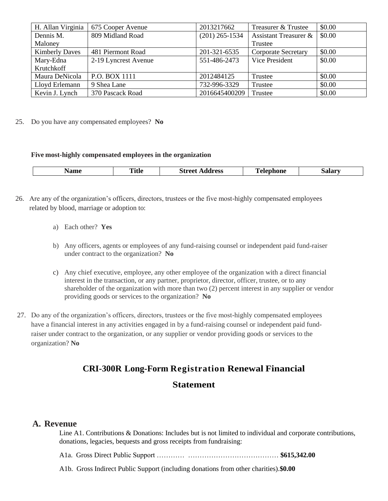| H. Allan Virginia     | 675 Cooper Avenue    | 2013217662       | Treasurer & Trustee              | \$0.00 |
|-----------------------|----------------------|------------------|----------------------------------|--------|
| Dennis M.             | 809 Midland Road     | $(201)$ 265-1534 | <b>Assistant Treasurer &amp;</b> | \$0.00 |
| Maloney               |                      |                  | Trustee                          |        |
| <b>Kimberly Daves</b> | 481 Piermont Road    | 201-321-6535     | <b>Corporate Secretary</b>       | \$0.00 |
| Mary-Edna             | 2-19 Lyncrest Avenue | 551-486-2473     | Vice President                   | \$0.00 |
| Krutchkoff            |                      |                  |                                  |        |
| Maura DeNicola        | P.O. BOX 1111        | 2012484125       | Trustee                          | \$0.00 |
| Lloyd Erlemann        | 9 Shea Lane          | 732-996-3329     | Trustee                          | \$0.00 |
| Kevin J. Lynch        | 370 Pascack Road     | 2016645400209    | Trustee                          | \$0.00 |

25. Do you have any compensated employees? **No**

#### **Five most-highly compensated employees in the organization**

| <b>Title</b><br>.<br>лашғ<br>$\sim$ $\sim$ | street<br>idress | elephone<br>$\sim$ $\sim$ | <b>Salar</b> |
|--------------------------------------------|------------------|---------------------------|--------------|
|--------------------------------------------|------------------|---------------------------|--------------|

- 26. Are any of the organization's officers, directors, trustees or the five most-highly compensated employees related by blood, marriage or adoption to:
	- a) Each other? **Yes**
	- b) Any officers, agents or employees of any fund-raising counsel or independent paid fund-raiser under contract to the organization? **No**
	- c) Any chief executive, employee, any other employee of the organization with a direct financial interest in the transaction, or any partner, proprietor, director, officer, trustee, or to any shareholder of the organization with more than two (2) percent interest in any supplier or vendor providing goods or services to the organization? **No**
- 27. Do any of the organization's officers, directors, trustees or the five most-highly compensated employees have a financial interest in any activities engaged in by a fund-raising counsel or independent paid fund raiser under contract to the organization, or any supplier or vendor providing goods or services to the organization? **No**

## **CRI-300R Long-Form Registration Renewal Financial**

### **Statement**

### **A. Revenue**

Line A1. Contributions & Donations: Includes but is not limited to individual and corporate contributions, donations, legacies, bequests and gross receipts from fundraising:

A1a. Gross Direct Public Support ………… ………………………………… **\$615,342.00**

A1b. Gross Indirect Public Support (including donations from other charities).**\$0.00**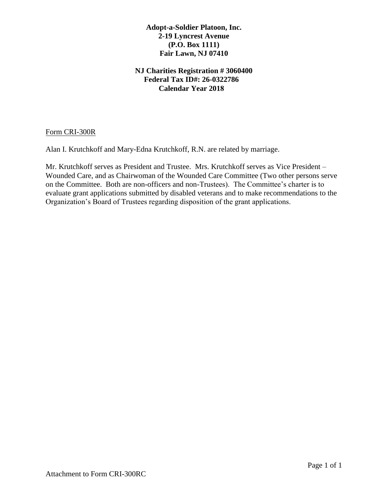### **Adopt-a-Soldier Platoon, Inc. 2-19 Lyncrest Avenue (P.O. Box 1111) Fair Lawn, NJ 07410**

## **NJ Charities Registration # 3060400 Federal Tax ID#: 26-0322786 Calendar Year 2018**

Form CRI-300R

Alan I. Krutchkoff and Mary-Edna Krutchkoff, R.N. are related by marriage.

Mr. Krutchkoff serves as President and Trustee. Mrs. Krutchkoff serves as Vice President – Wounded Care, and as Chairwoman of the Wounded Care Committee (Two other persons serve on the Committee. Both are non-officers and non-Trustees). The Committee's charter is to evaluate grant applications submitted by disabled veterans and to make recommendations to the Organization's Board of Trustees regarding disposition of the grant applications.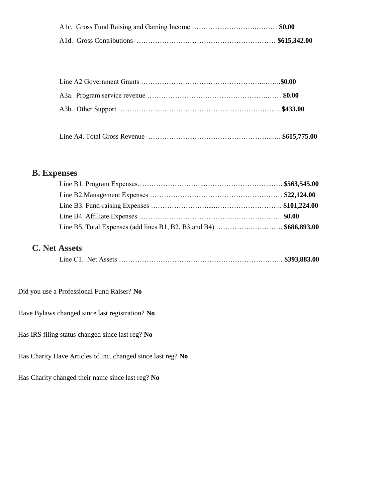|--|--|--|

# **B. Expenses**

| Line B5. Total Expenses (add lines B1, B2, B3 and B4)  \$686,893.00 |  |
|---------------------------------------------------------------------|--|

# **C. Net Assets**

|--|--|--|--|--|--|--|--|

## Did you use a Professional Fund Raiser? **No**

Have Bylaws changed since last registration? **No**

Has IRS filing status changed since last reg? **No**

Has Charity Have Articles of inc. changed since last reg? **No**

Has Charity changed their name since last reg? **No**